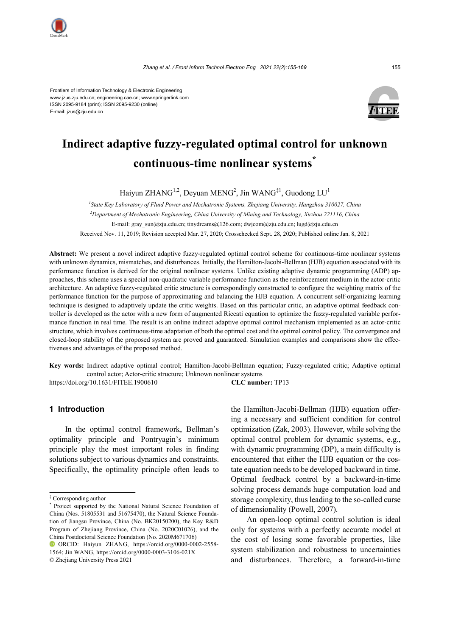

Frontiers of Information Technology & Electronic Engineering www.jzus.zju.edu.cn; engineering.cae.cn; www.springerlink.com ISSN 2095-9184 (print); ISSN 2095-9230 (online) E-mail: jzus@zju.edu.cn



# **Indirect adaptive fuzzy-regulated optimal control for unknown continuous-time nonlinear systems\***

Haiyun ZHANG<sup>1,2</sup>, Deyuan MENG<sup>2</sup>, Jin WANG<sup>‡1</sup>, Guodong LU<sup>1</sup>

*1 State Key Laboratory of Fluid Power and Mechatronic Systems, Zhejiang University, Hangzhou 310027, China 2 Department of Mechatronic Engineering, China University of Mining and Technology, Xuzhou 221116, China* E-mail: gray\_sun@zju.edu.cn; tinydreams@126.com; dwjcom@zju.edu.cn; lugd@zju.edu.cn Received Nov. 11, 2019; Revision accepted Mar. 27, 2020; Crosschecked Sept. 28, 2020; Published online Jan. 8, 2021

**Abstract:** We present a novel indirect adaptive fuzzy-regulated optimal control scheme for continuous-time nonlinear systems with unknown dynamics, mismatches, and disturbances. Initially, the Hamilton-Jacobi-Bellman (HJB) equation associated with its performance function is derived for the original nonlinear systems. Unlike existing adaptive dynamic programming (ADP) approaches, this scheme uses a special non-quadratic variable performance function as the reinforcement medium in the actor-critic architecture. An adaptive fuzzy-regulated critic structure is correspondingly constructed to configure the weighting matrix of the performance function for the purpose of approximating and balancing the HJB equation. A concurrent self-organizing learning technique is designed to adaptively update the critic weights. Based on this particular critic, an adaptive optimal feedback controller is developed as the actor with a new form of augmented Riccati equation to optimize the fuzzy-regulated variable performance function in real time. The result is an online indirect adaptive optimal control mechanism implemented as an actor-critic structure, which involves continuous-time adaptation of both the optimal cost and the optimal control policy. The convergence and closed-loop stability of the proposed system are proved and guaranteed. Simulation examples and comparisons show the effectiveness and advantages of the proposed method.

**Key words:** Indirect adaptive optimal control; Hamilton-Jacobi-Bellman equation; Fuzzy-regulated critic; Adaptive optimal control actor; Actor-critic structure; Unknown nonlinear systems

https://doi.org/10.1631/FITEE.1900610 **CLC number:** TP13

# **1 Introduction**

In the optimal control framework, Bellman's optimality principle and Pontryagin's minimum principle play the most important roles in finding solutions subject to various dynamics and constraints. Specifically, the optimality principle often leads to

ORCID: Haiyun ZHANG, https://orcid.org/0000-0002-2558- 1564; Jin WANG, https://orcid.org/0000-0003-3106-021X © Zhejiang University Press 2021

the Hamilton-Jacobi-Bellman (HJB) equation offering a necessary and sufficient condition for control optimization (Zak, 2003). However, while solving the optimal control problem for dynamic systems, e.g., with dynamic programming (DP), a main difficulty is encountered that either the HJB equation or the costate equation needs to be developed backward in time. Optimal feedback control by a backward-in-time solving process demands huge computation load and storage complexity, thus leading to the so-called curse of dimensionality (Powell, 2007).

An open-loop optimal control solution is ideal only for systems with a perfectly accurate model at the cost of losing some favorable properties, like system stabilization and robustness to uncertainties and disturbances. Therefore, a forward-in-time

<sup>‡</sup> Corresponding author

<sup>\*</sup> Project supported by the National Natural Science Foundation of China (Nos. 51805531 and 51675470), the Natural Science Foundation of Jiangsu Province, China (No. BK20150200), the Key R&D Program of Zhejiang Province, China (No. 2020C01026), and the China Postdoctoral Science Foundation (No. 2020M671706)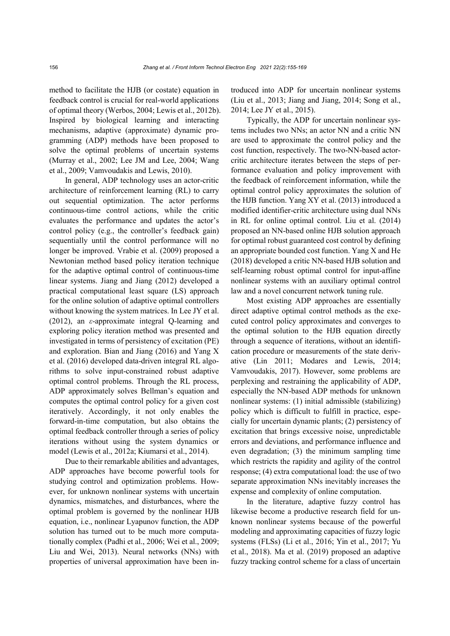method to facilitate the HJB (or costate) equation in feedback control is crucial for real-world applications of optimal theory (Werbos, 2004; Lewis et al., 2012b). Inspired by biological learning and interacting mechanisms, adaptive (approximate) dynamic programming (ADP) methods have been proposed to solve the optimal problems of uncertain systems (Murray et al., 2002; Lee JM and Lee, 2004; Wang et al., 2009; Vamvoudakis and Lewis, 2010).

In general, ADP technology uses an actor-critic architecture of reinforcement learning (RL) to carry out sequential optimization. The actor performs continuous-time control actions, while the critic evaluates the performance and updates the actor's control policy (e.g., the controller's feedback gain) sequentially until the control performance will no longer be improved. Vrabie et al. (2009) proposed a Newtonian method based policy iteration technique for the adaptive optimal control of continuous-time linear systems. Jiang and Jiang (2012) developed a practical computational least square (LS) approach for the online solution of adaptive optimal controllers without knowing the system matrices. In Lee JY et al. (2012), an *ε*-approximate integral Q-learning and exploring policy iteration method was presented and investigated in terms of persistency of excitation (PE) and exploration. Bian and Jiang (2016) and Yang X et al. (2016) developed data-driven integral RL algorithms to solve input-constrained robust adaptive optimal control problems. Through the RL process, ADP approximately solves Bellman's equation and computes the optimal control policy for a given cost iteratively. Accordingly, it not only enables the forward-in-time computation, but also obtains the optimal feedback controller through a series of policy iterations without using the system dynamics or model (Lewis et al., 2012a; Kiumarsi et al., 2014).

Due to their remarkable abilities and advantages, ADP approaches have become powerful tools for studying control and optimization problems. However, for unknown nonlinear systems with uncertain dynamics, mismatches, and disturbances, where the optimal problem is governed by the nonlinear HJB equation, i.e., nonlinear Lyapunov function, the ADP solution has turned out to be much more computationally complex (Padhi et al., 2006; Wei et al., 2009; Liu and Wei, 2013). Neural networks (NNs) with properties of universal approximation have been introduced into ADP for uncertain nonlinear systems (Liu et al., 2013; Jiang and Jiang, 2014; Song et al., 2014; Lee JY et al., 2015).

Typically, the ADP for uncertain nonlinear systems includes two NNs; an actor NN and a critic NN are used to approximate the control policy and the cost function, respectively. The two-NN-based actorcritic architecture iterates between the steps of performance evaluation and policy improvement with the feedback of reinforcement information, while the optimal control policy approximates the solution of the HJB function. Yang XY et al. (2013) introduced a modified identifier-critic architecture using dual NNs in RL for online optimal control. Liu et al. (2014) proposed an NN-based online HJB solution approach for optimal robust guaranteed cost control by defining an appropriate bounded cost function. Yang X and He (2018) developed a critic NN-based HJB solution and self-learning robust optimal control for input-affine nonlinear systems with an auxiliary optimal control law and a novel concurrent network tuning rule.

Most existing ADP approaches are essentially direct adaptive optimal control methods as the executed control policy approximates and converges to the optimal solution to the HJB equation directly through a sequence of iterations, without an identification procedure or measurements of the state derivative (Lin 2011; Modares and Lewis, 2014; Vamvoudakis, 2017). However, some problems are perplexing and restraining the applicability of ADP, especially the NN-based ADP methods for unknown nonlinear systems: (1) initial admissible (stabilizing) policy which is difficult to fulfill in practice, especially for uncertain dynamic plants; (2) persistency of excitation that brings excessive noise, unpredictable errors and deviations, and performance influence and even degradation; (3) the minimum sampling time which restricts the rapidity and agility of the control response; (4) extra computational load: the use of two separate approximation NNs inevitably increases the expense and complexity of online computation.

In the literature, adaptive fuzzy control has likewise become a productive research field for unknown nonlinear systems because of the powerful modeling and approximating capacities of fuzzy logic systems (FLSs) (Li et al., 2016; Yin et al., 2017; Yu et al., 2018). Ma et al. (2019) proposed an adaptive fuzzy tracking control scheme for a class of uncertain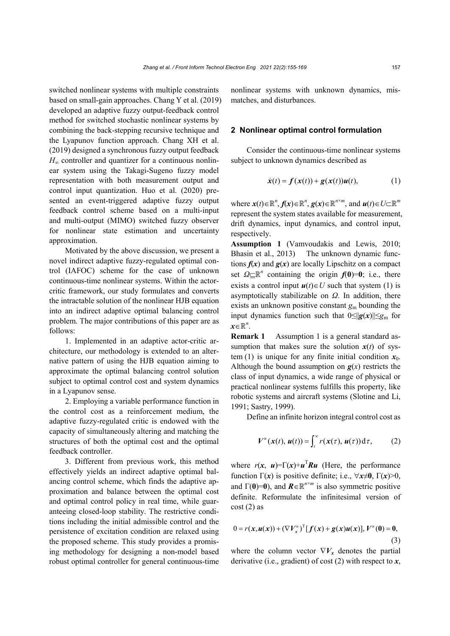switched nonlinear systems with multiple constraints based on small-gain approaches. Chang Y et al. (2019) developed an adaptive fuzzy output-feedback control method for switched stochastic nonlinear systems by combining the back-stepping recursive technique and the Lyapunov function approach. Chang XH et al. (2019) designed a synchronous fuzzy output feedback  $H_{\infty}$  controller and quantizer for a continuous nonlinear system using the Takagi-Sugeno fuzzy model representation with both measurement output and control input quantization. Huo et al. (2020) presented an event-triggered adaptive fuzzy output feedback control scheme based on a multi-input and multi-output (MIMO) switched fuzzy observer for nonlinear state estimation and uncertainty approximation.

Motivated by the above discussion, we present a novel indirect adaptive fuzzy-regulated optimal control (IAFOC) scheme for the case of unknown continuous-time nonlinear systems. Within the actorcritic framework, our study formulates and converts the intractable solution of the nonlinear HJB equation into an indirect adaptive optimal balancing control problem. The major contributions of this paper are as follows:

1. Implemented in an adaptive actor-critic architecture, our methodology is extended to an alternative pattern of using the HJB equation aiming to approximate the optimal balancing control solution subject to optimal control cost and system dynamics in a Lyapunov sense.

2. Employing a variable performance function in the control cost as a reinforcement medium, the adaptive fuzzy-regulated critic is endowed with the capacity of simultaneously altering and matching the structures of both the optimal cost and the optimal feedback controller.

3. Different from previous work, this method effectively yields an indirect adaptive optimal balancing control scheme, which finds the adaptive approximation and balance between the optimal cost and optimal control policy in real time, while guaranteeing closed-loop stability. The restrictive conditions including the initial admissible control and the persistence of excitation condition are relaxed using the proposed scheme. This study provides a promising methodology for designing a non-model based robust optimal controller for general continuous-time

nonlinear systems with unknown dynamics, mismatches, and disturbances.

#### **2 Nonlinear optimal control formulation**

Consider the continuous-time nonlinear systems subject to unknown dynamics described as

$$
\dot{\mathbf{x}}(t) = \mathbf{f}(\mathbf{x}(t)) + \mathbf{g}(\mathbf{x}(t))\mathbf{u}(t),
$$
 (1)

where  $x(t) \in \mathbb{R}^n$ ,  $f(x) \in \mathbb{R}^n$ ,  $g(x) \in \mathbb{R}^{n \times m}$ , and  $u(t) \in U \subset \mathbb{R}^m$ represent the system states available for measurement, drift dynamics, input dynamics, and control input, respectively.

**Assumption 1** (Vamvoudakis and Lewis, 2010; Bhasin et al., 2013) The unknown dynamic functions  $f(x)$  and  $g(x)$  are locally Lipschitz on a compact set  $\Omega \subset \mathbb{R}^n$  containing the origin  $f(0)=0$ ; i.e., there exists a control input  $u(t) \in U$  such that system (1) is asymptotically stabilizable on *Ω*. In addition, there exists an unknown positive constant *g*<sup>m</sup> bounding the input dynamics function such that 0≤||*g*(*x*)||≤*g*<sup>m</sup> for  $x \in \mathbb{R}^n$ .

**Remark 1** Assumption 1 is a general standard assumption that makes sure the solution  $x(t)$  of system (1) is unique for any finite initial condition  $x_0$ . Although the bound assumption on  $g(x)$  restricts the class of input dynamics, a wide range of physical or practical nonlinear systems fulfills this property, like robotic systems and aircraft systems (Slotine and Li, 1991; Sastry, 1999).

Define an infinite horizon integral control cost as

$$
V^{u}(x(t), u(t)) = \int_{t}^{\infty} r(x(\tau), u(\tau)) d\tau, \qquad (2)
$$

where  $r(x, u) = \Gamma(x) + u^T R u$  (Here, the performance function  $\Gamma(x)$  is positive definite; i.e.,  $\forall x \neq 0$ ,  $\Gamma(x) > 0$ , and  $\Gamma(0)=0$ ), and  $\mathbf{R} \in \mathbb{R}^{n \times m}$  is also symmetric positive definite. Reformulate the infinitesimal version of  $cost(2)$  as

$$
0 = r(x, u(x)) + (\nabla V_x^u)^T [f(x) + g(x)u(x)], V^u(0) = 0,
$$
  
(3)

where the column vector  $\nabla V_x$  denotes the partial derivative (i.e., gradient) of cost (2) with respect to *x*,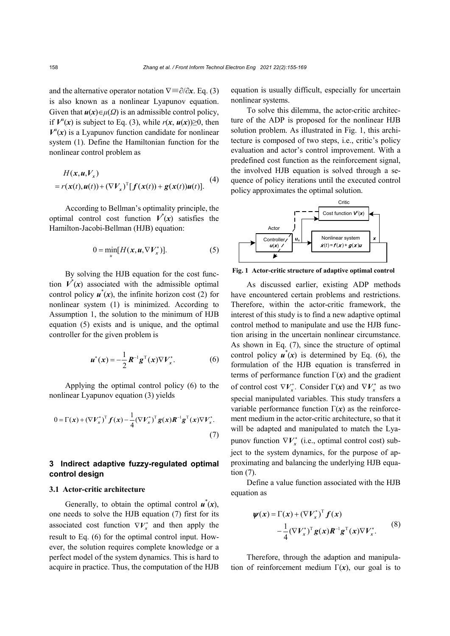and the alternative operator notation ∇≡∂/∂*x*. Eq. (3) is also known as a nonlinear Lyapunov equation. Given that  $u(x) \in \mu(\Omega)$  is an admissible control policy, if  $V^u(x)$  is subject to Eq. (3), while  $r(x, u(x)) \ge 0$ , then  $V^u(x)$  is a Lyapunov function candidate for nonlinear system (1). Define the Hamiltonian function for the nonlinear control problem as

$$
H(\mathbf{x}, \mathbf{u}, V_{x})
$$
  
=  $r(\mathbf{x}(t), \mathbf{u}(t)) + (\nabla V_{x})^{T} [f(\mathbf{x}(t)) + g(\mathbf{x}(t))\mathbf{u}(t)].$  (4)

According to Bellman's optimality principle, the optimal control cost function  $V^*(x)$  satisfies the Hamilton-Jacobi-Bellman (HJB) equation:

$$
0 = \min_{u} [H(x, u, \nabla V_x^*)].
$$
 (5)

By solving the HJB equation for the cost function  $V^*(x)$  associated with the admissible optimal control policy  $\mathbf{u}^*(x)$ , the infinite horizon cost (2) for nonlinear system (1) is minimized. According to Assumption 1, the solution to the minimum of HJB equation (5) exists and is unique, and the optimal controller for the given problem is

$$
u^*(x) = -\frac{1}{2} R^{-1} g^{T}(x) \nabla V_x^*.
$$
 (6)

Applying the optimal control policy (6) to the nonlinear Lyapunov equation (3) yields

$$
0 = \Gamma(x) + (\nabla V_x^*)^T f(x) - \frac{1}{4} (\nabla V_x^*)^T g(x) R^{-1} g^T(x) \nabla V_x^*.
$$
\n
$$
(7)
$$

# **3 Indirect adaptive fuzzy-regulated optimal control design**

#### **3.1 Actor-critic architecture**

Generally, to obtain the optimal control  $\mathbf{u}^*(x)$ , one needs to solve the HJB equation (7) first for its associated cost function  $\nabla V_x^*$  and then apply the result to Eq. (6) for the optimal control input. However, the solution requires complete knowledge or a perfect model of the system dynamics. This is hard to acquire in practice. Thus, the computation of the HJB

equation is usually difficult, especially for uncertain nonlinear systems.

To solve this dilemma, the actor-critic architecture of the ADP is proposed for the nonlinear HJB solution problem. As illustrated in Fig. 1, this architecture is composed of two steps, i.e., critic's policy evaluation and actor's control improvement. With a predefined cost function as the reinforcement signal, the involved HJB equation is solved through a sequence of policy iterations until the executed control policy approximates the optimal solution.



**Fig. 1 Actor-critic structure of adaptive optimal control**

As discussed earlier, existing ADP methods have encountered certain problems and restrictions. Therefore, within the actor-critic framework, the interest of this study is to find a new adaptive optimal control method to manipulate and use the HJB function arising in the uncertain nonlinear circumstance. As shown in Eq. (7), since the structure of optimal control policy  $u^*(x)$  is determined by Eq. (6), the formulation of the HJB equation is transferred in terms of performance function  $\Gamma(x)$  and the gradient of control cost  $\nabla V_x^*$ . Consider  $\Gamma(x)$  and  $\nabla V_x^*$  as two special manipulated variables. This study transfers a variable performance function  $\Gamma(x)$  as the reinforcement medium in the actor-critic architecture, so that it will be adapted and manipulated to match the Lyapunov function  $\nabla V_x^*$  (i.e., optimal control cost) subject to the system dynamics, for the purpose of approximating and balancing the underlying HJB equation (7).

Define a value function associated with the HJB equation as

$$
\psi(x) = \Gamma(x) + (\nabla V_x^*)^T f(x)
$$
  
 
$$
-\frac{1}{4} (\nabla V_x^*)^T g(x) R^{-1} g^T(x) \nabla V_x^*.
$$
 (8)

Therefore, through the adaption and manipulation of reinforcement medium  $\Gamma(x)$ , our goal is to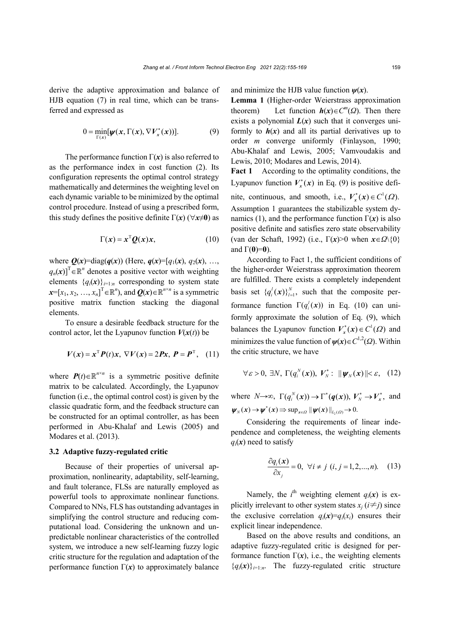derive the adaptive approximation and balance of HJB equation (7) in real time, which can be transferred and expressed as

$$
0 = \min_{\Gamma(x)} [\psi(x, \Gamma(x), \nabla V_x^*(x))]. \tag{9}
$$

The performance function  $\Gamma(x)$  is also referred to as the performance index in cost function (2). Its configuration represents the optimal control strategy mathematically and determines the weighting level on each dynamic variable to be minimized by the optimal control procedure. Instead of using a prescribed form, this study defines the positive definite  $\Gamma(x)$  ( $\forall x \neq 0$ ) as

$$
\Gamma(x) = x^{\mathrm{T}} \mathcal{Q}(x) x, \tag{10}
$$

where  $Q(x)$ =diag( $q(x)$ ) (Here,  $q(x)$ =[ $q_1(x)$ ,  $q_2(x)$ , ...  $q_n(x)$ <sup>T</sup>  $\in \mathbb{R}^n$  denotes a positive vector with weighting elements  ${q_i(x)}_{i=1:n}$  corresponding to system state  $\mathbf{x} = [x_1, x_2, \dots, x_n]^\text{T} \in \mathbb{R}^n$ , and  $\mathbf{Q}(\mathbf{x}) \in \mathbb{R}^{n \times n}$  is a symmetric positive matrix function stacking the diagonal elements.

To ensure a desirable feedback structure for the control actor, let the Lyapunov function  $V(x(t))$  be

$$
V(x) = xT P(t)x, \nabla V(x) = 2Px, \, P = PT, \quad (11)
$$

where  $P(t) \in \mathbb{R}^{n \times n}$  is a symmetric positive definite matrix to be calculated. Accordingly, the Lyapunov function (i.e., the optimal control cost) is given by the classic quadratic form, and the feedback structure can be constructed for an optimal controller, as has been performed in Abu-Khalaf and Lewis (2005) and Modares et al. (2013).

# **3.2 Adaptive fuzzy-regulated critic**

Because of their properties of universal approximation, nonlinearity, adaptability, self-learning, and fault tolerance, FLSs are naturally employed as powerful tools to approximate nonlinear functions. Compared to NNs, FLS has outstanding advantages in simplifying the control structure and reducing computational load. Considering the unknown and unpredictable nonlinear characteristics of the controlled system, we introduce a new self-learning fuzzy logic critic structure for the regulation and adaptation of the performance function  $\Gamma(x)$  to approximately balance and minimize the HJB value function  $\psi(x)$ .

**Lemma 1** (Higher-order Weierstrass approximation theorem) Let function  $h(x) \in C^m(\Omega)$ . Then there exists a polynomial  $L(x)$  such that it converges uniformly to  $h(x)$  and all its partial derivatives up to order *m* converge uniformly (Finlayson, 1990; Abu-Khalaf and Lewis, 2005; Vamvoudakis and Lewis, 2010; Modares and Lewis, 2014).

**Fact 1** According to the optimality conditions, the Lyapunov function  $V_r^*(x)$  in Eq. (9) is positive definite, continuous, and smooth, i.e.,  $V_r^*(x) \in C^1(\Omega)$ . Assumption 1 guarantees the stabilizable system dynamics (1), and the performance function  $\Gamma(x)$  is also positive definite and satisfies zero state observability (van der Schaft, 1992) (i.e., Γ(*x*)>0 when *x*∈*Ω*\{0} and  $\Gamma(0)=0$ ).

According to Fact 1, the sufficient conditions of the higher-order Weierstrass approximation theorem are fulfilled. There exists a completely independent basis set  $\{q_i^l(\bm{x})\}_{l=1}^N$ , such that the composite performance function  $\Gamma(q_i^l(\mathbf{x}))$  in Eq. (10) can uniformly approximate the solution of Eq. (9), which balances the Lyapunov function  $V_r^*(x) \in C^1(\Omega)$  and minimizes the value function of  $\psi(x) \in C^{1,2}(\Omega)$ . Within the critic structure, we have

$$
\forall \varepsilon > 0, \exists N, \Gamma(q_i^N(\mathbf{x})), V_N^* : \|\psi_N(\mathbf{x})\| < \varepsilon, \quad (12)
$$

where  $N \rightarrow \infty$ ,  $\Gamma(q_i^N(\mathbf{x})) \rightarrow \Gamma^*(q(\mathbf{x})), V_N^* \rightarrow V_X^*$ , and  $\psi_N(x) \to \psi^*(x) \Rightarrow \sup_{x \in \Omega} ||\psi(x)||_{L_2(\Omega)} \to 0.$ 

Considering the requirements of linear independence and completeness, the weighting elements  $q_i(x)$  need to satisfy

$$
\frac{\partial q_i(\mathbf{x})}{\partial x_j} = 0, \ \forall i \neq j \ (i, j = 1, 2, \dots, n). \tag{13}
$$

Namely, the  $i^{\text{th}}$  weighting element  $q_i(x)$  is explicitly irrelevant to other system states  $x_i$  ( $i \neq j$ ) since the exclusive correlation  $q_i(x)=q_i(x_i)$  ensures their explicit linear independence.

Based on the above results and conditions, an adaptive fuzzy-regulated critic is designed for performance function  $\Gamma(x)$ , i.e., the weighting elements  ${q_i(x)}_{i=1:n}$ . The fuzzy-regulated critic structure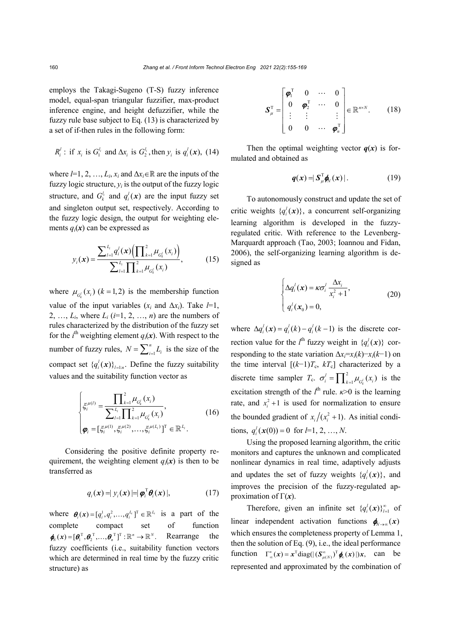employs the Takagi-Sugeno (T-S) fuzzy inference model, equal-span triangular fuzzifier, max-product inference engine, and height defuzzifier, while the fuzzy rule base subject to Eq. (13) is characterized by a set of if-then rules in the following form:

$$
R_i^l
$$
: if  $x_i$  is  $G_1^{l_i}$  and  $\Delta x_i$  is  $G_2^{l_i}$ , then  $y_i$  is  $q_i^l(\mathbf{x})$ , (14)

where  $l=1, 2, ..., L_i, x_i$  and  $\Delta x_i \in \mathbb{R}$  are the inputs of the fuzzy logic structure,  $y_i$  is the output of the fuzzy logic structure, and  $G_k^l$  and  $q_i^l(\mathbf{x})$  are the input fuzzy set and singleton output set, respectively. According to the fuzzy logic design, the output for weighting elements  $q_i(x)$  can be expressed as

$$
y_i(\mathbf{x}) = \frac{\sum_{l=1}^{L_i} q_i^l(\mathbf{x}) \left( \prod_{k=1}^2 \mu_{G_k^l}(\mathbf{x}_i) \right)}{\sum_{l=1}^{L_i} \prod_{k=1}^2 \mu_{G_k^l}(\mathbf{x}_i)},
$$
(15)

where  $\mu_{C_k^i}(x_i)$  ( $k = 1,2$ ) is the membership function value of the input variables  $(x_i$  and  $\Delta x_i$ ). Take  $l=1$ , 2, ...,  $L_i$ , where  $L_i$  ( $i=1, 2, ..., n$ ) are the numbers of rules characterized by the distribution of the fuzzy set for the  $i^{\text{th}}$  weighting element  $q_i(\mathbf{x})$ . With respect to the number of fuzzy rules,  $N = \sum_{i=1}^{n} L_i$  is the size of the compact set  $\{q_i^l(\boldsymbol{x})\}_{l=1:n}$ . Define the fuzzy suitability values and the suitability function vector as

$$
\begin{cases} \xi_i^{\mu(l)} = \frac{\prod_{k=1}^2 \mu_{G_k^l}(x_i)}{\sum_{l=1}^{L_i} \prod_{k=1}^2 \mu_{G_k^l}(x_i)}, \\ \varphi_i = [\xi_i^{\mu(l)}, \xi_i^{\mu(2)}, \dots, \xi_i^{\mu(L_i)}]^T \in \mathbb{R}^{L_i}. \end{cases}
$$
(16)

Considering the positive definite property requirement, the weighting element  $q_i(x)$  is then to be transferred as

$$
q_i(\mathbf{x}) = |y_i(\mathbf{x})| = |\boldsymbol{\varphi}_i^{\mathrm{T}} \boldsymbol{\theta}_i(\mathbf{x})|, \qquad (17)
$$

where  $\boldsymbol{\theta}_i(\boldsymbol{x}) = [q_i^1, q_i^2, \dots, q_i^{L_i}]^T \in \mathbb{R}^{L_i}$  is a part of the complete compact set of function<br>  $\phi_n(x) = [\theta_1^T, \theta_2^T, ..., \theta_n^T]^T : \mathbb{R}^n \to \mathbb{R}^N$ . Rearrange the fuzzy coefficients (i.e., suitability function vectors which are determined in real time by the fuzzy critic structure) as

$$
\boldsymbol{S}_{\mu}^{\mathrm{T}} = \begin{bmatrix} \boldsymbol{\varphi}_{1}^{\mathrm{T}} & 0 & \cdots & 0 \\ 0 & \boldsymbol{\varphi}_{2}^{\mathrm{T}} & \cdots & 0 \\ \vdots & \vdots & & \vdots \\ 0 & 0 & \cdots & \boldsymbol{\varphi}_{n}^{\mathrm{T}} \end{bmatrix} \in \mathbb{R}^{n \times N}.
$$
 (18)

Then the optimal weighting vector  $q(x)$  is formulated and obtained as

$$
q(x) = |S_{\mu}^{\mathrm{T}} \phi_N(x)|. \tag{19}
$$

To autonomously construct and update the set of critic weights  $\{q_i^l(\mathbf{x})\}$ , a concurrent self-organizing learning algorithm is developed in the fuzzyregulated critic. With reference to the Levenberg-Marquardt approach (Tao, 2003; Ioannou and Fidan, 2006), the self-organizing learning algorithm is designed as

$$
\begin{cases}\n\Delta q_i^l(\mathbf{x}) = \kappa \sigma_i^l \frac{\Delta x_i}{x_i^2 + 1}, \\
q_i^l(\mathbf{x}_0) = 0,\n\end{cases}
$$
\n(20)

where  $\Delta q_i^l(\mathbf{x}) = q_i^l(k) - q_i^l(k-1)$  is the discrete correction value for the  $l^{\text{th}}$  fuzzy weight in  $\{q_i^l(\mathbf{x})\}$  corresponding to the state variation  $\Delta x = x_i(k) - x_i(k-1)$  on the time interval  $[(k-1)T_c, kT_c]$  characterized by a discrete time sampler  $T_c$ .  $\sigma_i^l = \prod_{k=1}^2 \mu_{G_k^l}(x_i)$  $\sigma_i^l = \prod_{k=1}^2 \mu_{G_k^l}(x_i)$  is the excitation strength of the  $l^{\text{th}}$  rule.  $\kappa$ >0 is the learning rate, and  $x_i^2 + 1$  is used for normalization to ensure the bounded gradient of  $x_i/(x_i^2 + 1)$ . As initial condi- $\lim_{i} q_i^l(\mathbf{x}(0)) = 0$  for  $l = 1, 2, ..., N$ .

Using the proposed learning algorithm, the critic monitors and captures the unknown and complicated nonlinear dynamics in real time, adaptively adjusts and updates the set of fuzzy weights  $\{q_i^l(\mathbf{x})\}$ , and improves the precision of the fuzzy-regulated approximation of  $\Gamma(x)$ .

Therefore, given an infinite set  ${q_i^l(\boldsymbol{x})}_{l=1}^{\infty}$  of linear independent activation functions  $\phi_{N\to\infty}(x)$ which ensures the completeness property of Lemma 1, then the solution of Eq. (9), i.e., the ideal performance function  $\Gamma_{\infty}^*(x) = x^{\text{T}} \text{diag}((S_{\mu(N)}^{\infty})^{\text{T}} \phi_{\infty}(x))x$ , can be represented and approximated by the combination of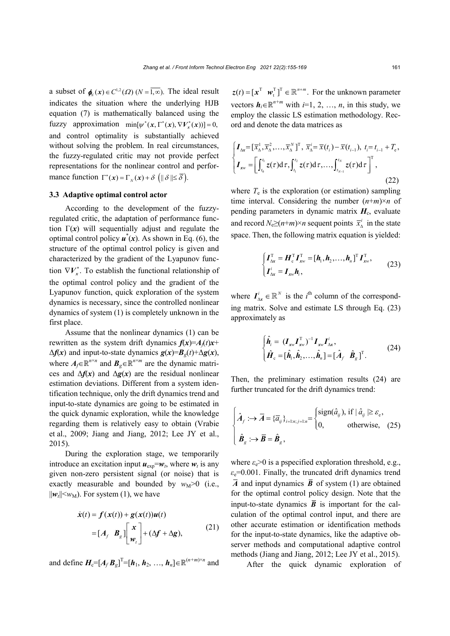a subset of  $\phi(x) \in C^{1,2}(\Omega)$  ( $N = \overline{1,\infty}$ ). The ideal result indicates the situation where the underlying HJB equation (7) is mathematically balanced using the fuzzy approximation min $[\psi^*(x, \Gamma^*(x), \nabla V_x^*(x))] = 0$ , and control optimality is substantially achieved without solving the problem. In real circumstances, the fuzzy-regulated critic may not provide perfect representations for the nonlinear control and performance function  $\Gamma^*(x) = \Gamma_{N}(x) + \delta \left( || \delta || \le \overline{\delta} \right).$ 

# **3.3 Adaptive optimal control actor**

According to the development of the fuzzyregulated critic, the adaptation of performance function  $\Gamma(x)$  will sequentially adjust and regulate the optimal control policy  $\mathbf{u}^*(\mathbf{x})$ . As shown in Eq. (6), the structure of the optimal control policy is given and characterized by the gradient of the Lyapunov function  $\nabla V_x^*$ . To establish the functional relationship of the optimal control policy and the gradient of the Lyapunov function, quick exploration of the system dynamics is necessary, since the controlled nonlinear dynamics of system (1) is completely unknown in the first place.

Assume that the nonlinear dynamics (1) can be rewritten as the system drift dynamics  $f(x)=A_f(t)x+$  $\Delta f(x)$  and input-to-state dynamics  $g(x)=B_g(t)+\Delta g(x)$ , where  $A_f \in \mathbb{R}^{n \times n}$  and  $B_g \in \mathbb{R}^{n \times m}$  are the dynamic matrices and  $\Delta f(x)$  and  $\Delta g(x)$  are the residual nonlinear estimation deviations. Different from a system identification technique, only the drift dynamics trend and input-to-state dynamics are going to be estimated in the quick dynamic exploration, while the knowledge regarding them is relatively easy to obtain (Vrabie et al., 2009; Jiang and Jiang, 2012; Lee JY et al., 2015).

During the exploration stage, we temporarily introduce an excitation input  $u_{\exp} = w_t$ , where  $w_t$  is any given non-zero persistent signal (or noise) that is exactly measurable and bounded by  $w_M > 0$  (i.e.,  $||w_t|| \leq w_M$ ). For system (1), we have

$$
\dot{\mathbf{x}}(t) = \mathbf{f}(\mathbf{x}(t)) + \mathbf{g}(\mathbf{x}(t))\mathbf{u}(t)
$$
\n
$$
= [\mathbf{A}_f \ \mathbf{B}_g] \begin{bmatrix} \mathbf{x} \\ \mathbf{w}_t \end{bmatrix} + (\Delta \mathbf{f} + \Delta \mathbf{g}), \tag{21}
$$

and define  $H_c=[A_f B_g]^T=[h_1, h_2, ..., h_n] \in \mathbb{R}^{(n+m)\times n}$  and

 $z(t) = [x^T \quad w_t^T]^T \in \mathbb{R}^{n+m}$ . For the unknown parameter vectors  $h_i \in \mathbb{R}^{n+m}$  with *i*=1, 2, ..., *n*, in this study, we employ the classic LS estimation methodology. Record and denote the data matrices as

$$
\begin{cases}\nI_{\Delta x} = [\overline{x}_{\Delta}^1, \overline{x}_{\Delta}^2, \dots, \overline{x}_{\Delta}^N]^T, \ \overline{x}_{\Delta}^i = \overline{x}(t_i) - \overline{x}(t_{i-1}), \ t_i = t_{i-1} + T_e, \\
I_{xw} = \left[\int_{t_0}^{t_1} z(\tau) d\tau, \int_{t_1}^{t_2} z(\tau) d\tau, \dots, \int_{t_{N-1}}^{t_N} z(\tau) d\tau\right]^T,\n\end{cases} \tag{22}
$$

where  $T_e$  is the exploration (or estimation) sampling time interval. Considering the number  $(n+m) \times n$  of pending parameters in dynamic matrix  $H_c$ , evaluate and record  $N_e \ge (n+m) \times n$  sequent points  $\overline{x}_{\lambda}^i$  in the state space. Then, the following matrix equation is yielded:

$$
\begin{cases}\nI_{\Delta x}^{\mathrm{T}} = H_{\mathrm{c}}^{\mathrm{T}} I_{x\mathrm{w}}^{\mathrm{T}} = [h_{1}, h_{2}, \dots, h_{n}]^{\mathrm{T}} I_{x\mathrm{w}}^{\mathrm{T}}, \nI_{\Delta x}^{\mathrm{T}} = I_{x\mathrm{w}} h_{\mathrm{i}}, \n\end{cases} \tag{23}
$$

where  $I_{\text{Ax}}^i \in \mathbb{R}^N$  is the *i*<sup>th</sup> column of the corresponding matrix. Solve and estimate LS through Eq. (23) approximately as

$$
\begin{cases}\n\hat{\boldsymbol{h}}_i = (\boldsymbol{I}_{xw}\boldsymbol{I}_{xw}^{\mathrm{T}})^{-1}\boldsymbol{I}_{xw}\boldsymbol{I}_{\Delta x}^i, \n\hat{\boldsymbol{H}}_c = [\hat{\boldsymbol{h}}_1, \hat{\boldsymbol{h}}_2, \dots, \hat{\boldsymbol{h}}_n] = [\hat{\boldsymbol{A}}_f \ \hat{\boldsymbol{B}}_g]^{\mathrm{T}}.\n\end{cases}
$$
\n(24)

Then, the preliminary estimation results (24) are further truncated for the drift dynamics trend:

$$
\begin{cases}\n\hat{A}_f : \to \overline{A} = {\overline{a}_{ij}}_{i=1:n; j=1:n} = \begin{cases}\n\text{sign}(\hat{a}_{ij}), \text{ if } |\hat{a}_{ij}| \ge \varepsilon_{\text{e}}, \\
0, \text{ otherwise}, \text{ (25)}\n\end{cases}
$$
\n
$$
\hat{B}_g : \to \overline{B} = \hat{B}_g,
$$

where  $\varepsilon_e$  > 0 is a pspecified exploration threshold, e.g.,  $\varepsilon$ <sub>e</sub>=0.001. Finally, the truncated drift dynamics trend  $\overline{A}$  and input dynamics  $\overline{B}$  of system (1) are obtained for the optimal control policy design. Note that the input-to-state dynamics  $\overline{B}$  is important for the calculation of the optimal control input, and there are other accurate estimation or identification methods for the input-to-state dynamics, like the adaptive observer methods and computational adaptive control methods (Jiang and Jiang, 2012; Lee JY et al., 2015).

After the quick dynamic exploration of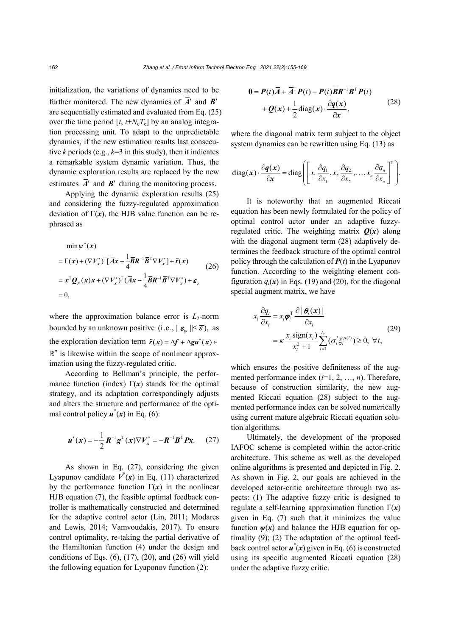initialization, the variations of dynamics need to be further monitored. The new dynamics of  $\overline{A}$ <sup>'</sup> and  $\overline{B}$ <sup>'</sup> are sequentially estimated and evaluated from Eq. (25) over the time period  $[t, t+N_eT_e]$  by an analog integration processing unit. To adapt to the unpredictable dynamics, if the new estimation results last consecutive *k* periods (e.g.,  $k=3$  in this study), then it indicates a remarkable system dynamic variation. Thus, the dynamic exploration results are replaced by the new estimates  $\overline{A}$ <sup>'</sup> and  $\overline{B}$ <sup>'</sup> during the monitoring process.

Applying the dynamic exploration results (25) and considering the fuzzy-regulated approximation deviation of  $\Gamma(x)$ , the HJB value function can be rephrased as

$$
\min \psi^*(x)
$$
\n
$$
= \Gamma(x) + (\nabla V_x^*)^T [\overline{A}x - \frac{1}{4}\overline{B}R^{-1}\overline{B}^T \nabla V_x^*] + \tilde{r}(x)
$$
\n
$$
= x^T Q_N(x)x + (\nabla V_x^*)^T (\overline{A}x - \frac{1}{4}\overline{B}R^{-1}\overline{B}^T \nabla V_x^*) + \varepsilon_{\psi}
$$
\n
$$
= 0,
$$
\n(26)

where the approximation balance error is  $L_2$ -norm bounded by an unknown positive (i.e.,  $||\boldsymbol{\varepsilon}_{w}|| \leq \overline{\varepsilon}$ ), as the exploration deviation term  $\tilde{r}(x) = \Delta f + \Delta g u^*(x)$  $\mathbb{R}^n$  is likewise within the scope of nonlinear approximation using the fuzzy-regulated critic.

According to Bellman's principle, the performance function (index)  $\Gamma(x)$  stands for the optimal strategy, and its adaptation correspondingly adjusts and alters the structure and performance of the optimal control policy  $\mathbf{u}^*(\mathbf{x})$  in Eq. (6):

$$
u^*(x) = -\frac{1}{2}R^{-1}g^T(x)\nabla V_x^* = -R^{-1}\overline{B}^T P x.
$$
 (27)

As shown in Eq. (27), considering the given Lyapunov candidate  $V^*(x)$  in Eq. (11) characterized by the performance function  $\Gamma(x)$  in the nonlinear HJB equation (7), the feasible optimal feedback controller is mathematically constructed and determined for the adaptive control actor (Lin, 2011; Modares and Lewis, 2014; Vamvoudakis, 2017). To ensure control optimality, re-taking the partial derivative of the Hamiltonian function (4) under the design and conditions of Eqs.  $(6)$ ,  $(17)$ ,  $(20)$ , and  $(26)$  will yield the following equation for Lyaponov function (2):

$$
0 = P(t)\overline{A} + \overline{A}^{\mathrm{T}} P(t) - P(t)\overline{B}R^{-1}\overline{B}^{\mathrm{T}} P(t)
$$
  
+ 
$$
Q(x) + \frac{1}{2}\text{diag}(x) \cdot \frac{\partial q(x)}{\partial x},
$$
 (28)

where the diagonal matrix term subject to the object system dynamics can be rewritten using Eq. (13) as

diag(x) 
$$
\cdot \frac{\partial q(x)}{\partial x} = \text{diag}\left[\left[x_1 \frac{\partial q_1}{\partial x_1}, x_2 \frac{\partial q_2}{\partial x_2}, \dots, x_n \frac{\partial q_n}{\partial x_n}\right]^T\right].
$$

It is noteworthy that an augmented Riccati equation has been newly formulated for the policy of optimal control actor under an adaptive fuzzyregulated critic. The weighting matrix  $Q(x)$  along with the diagonal augment term (28) adaptively determines the feedback structure of the optimal control policy through the calculation of  $P(t)$  in the Lyapunov function. According to the weighting element configuration  $q_i(x)$  in Eqs. (19) and (20), for the diagonal special augment matrix, we have

$$
x_i \frac{\partial q_i}{\partial x_i} = x_i \boldsymbol{\varphi}_i^{\mathrm{T}} \frac{\partial |\boldsymbol{\theta}_i(\boldsymbol{x})|}{\partial x_i}
$$
  
=  $\kappa \frac{x_i \text{ sign}(x_i)}{x_i^2 + 1} \sum_{l=1}^{L_i} (\sigma_i^l \xi_i^{\mu(l)}) \ge 0, \ \forall t,$  (29)

which ensures the positive definiteness of the augmented performance index (*i*=1, 2, …, *n*). Therefore, because of construction similarity, the new augmented Riccati equation (28) subject to the augmented performance index can be solved numerically using current mature algebraic Riccati equation solution algorithms.

Ultimately, the development of the proposed IAFOC scheme is completed within the actor-critic architecture. This scheme as well as the developed online algorithms is presented and depicted in Fig. 2. As shown in Fig. 2, our goals are achieved in the developed actor-critic architecture through two aspects: (1) The adaptive fuzzy critic is designed to regulate a self-learning approximation function Γ(*x*) given in Eq. (7) such that it minimizes the value function  $\psi(x)$  and balance the HJB equation for optimality (9); (2) The adaptation of the optimal feedback control actor *u*\* (*x*) given in Eq. (6) is constructed using its specific augmented Riccati equation (28) under the adaptive fuzzy critic.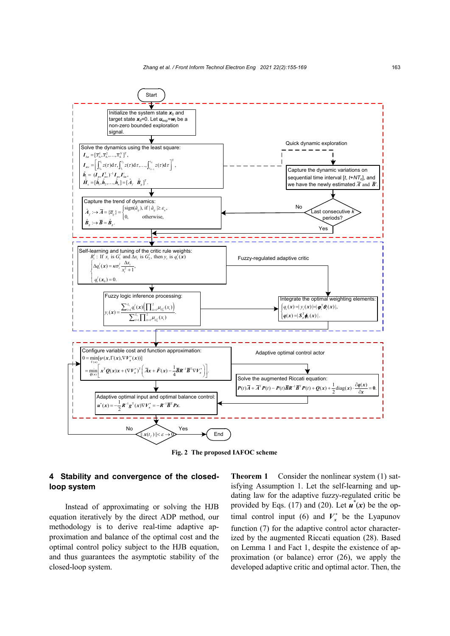

**Fig. 2 The proposed IAFOC scheme**

# **4 Stability and convergence of the closedloop system**

Instead of approximating or solving the HJB equation iteratively by the direct ADP method, our methodology is to derive real-time adaptive approximation and balance of the optimal cost and the optimal control policy subject to the HJB equation, and thus guarantees the asymptotic stability of the closed-loop system.

**Theorem 1** Consider the nonlinear system (1) satisfying Assumption 1. Let the self-learning and updating law for the adaptive fuzzy-regulated critic be provided by Eqs. (17) and (20). Let  $\mathbf{u}^*(x)$  be the optimal control input (6) and  $V_r^*$  be the Lyapunov function (7) for the adaptive control actor characterized by the augmented Riccati equation (28). Based on Lemma 1 and Fact 1, despite the existence of approximation (or balance) error (26), we apply the developed adaptive critic and optimal actor. Then, the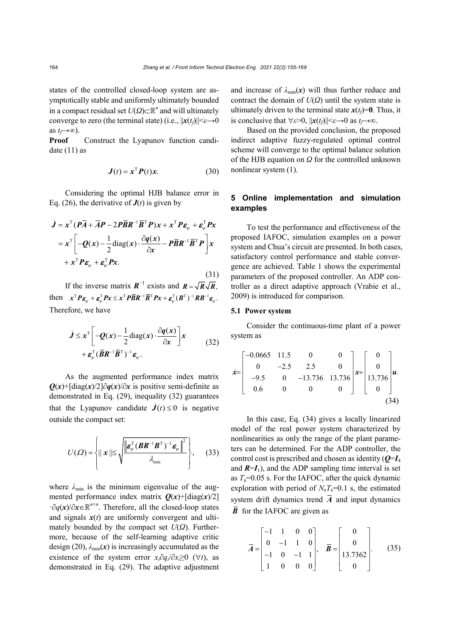(31)

states of the controlled closed-loop system are asymptotically stable and uniformly ultimately bounded in a compact residual set *U*(*Ω*)⊂*<sup>n</sup>* and will ultimately converge to zero (the terminal state) (i.e.,  $||x(t_f)|| \leq \epsilon \rightarrow 0$ as  $t_f \rightarrow \infty$ ).

**Proof**Construct the Lyapunov function candidate  $(11)$  as

$$
\mathbf{J}(t) = \mathbf{x}^{\mathrm{T}} \mathbf{P}(t) \mathbf{x}.\tag{30}
$$

Considering the optimal HJB balance error in Eq. (26), the derivative of  $J(t)$  is given by

$$
\dot{J} = x^{\mathrm{T}} (P\overline{A} + \overline{A}P - 2P\overline{B}R^{-1}\overline{B}^{\mathrm{T}}P)x + x^{\mathrm{T}}P\varepsilon_{\psi} + \varepsilon_{\psi}^{\mathrm{T}}Px
$$

$$
= x^{\mathrm{T}} \bigg[ -Q(x) - \frac{1}{2} \mathrm{diag}(x) \cdot \frac{\partial q(x)}{\partial x} - P\overline{B}R^{-1}\overline{B}^{\mathrm{T}}P \bigg] x
$$

$$
+ x^{\mathrm{T}}P\varepsilon_{\psi} + \varepsilon_{\psi}^{\mathrm{T}}Px.
$$

If the inverse matrix  $\mathbf{R}^{-1}$  exists and  $\mathbf{R} = \sqrt{\mathbf{R}} \sqrt{\mathbf{R}}$ . then  $x^{\mathrm{T}} P \boldsymbol{\varepsilon}_{\psi} + \boldsymbol{\varepsilon}_{\psi}^{\mathrm{T}} P x \leq x^{\mathrm{T}} P \overline{\boldsymbol{B}} \boldsymbol{R}^{-1} \overline{\boldsymbol{B}}^{\mathrm{T}} P x + \boldsymbol{\varepsilon}_{\psi}^{\mathrm{T}} (\boldsymbol{B}^{\mathrm{T}})^{-1} \boldsymbol{R} \boldsymbol{B}^{-1} \boldsymbol{\varepsilon}_{\psi}.$ Therefore, we have

$$
\dot{J} \leq x^{\text{T}} \left[ -Q(x) - \frac{1}{2} \text{diag}(x) \cdot \frac{\partial q(x)}{\partial x} \right] x + \varepsilon_{\psi}^{\text{T}} (\overline{B} R^{-1} \overline{B}^{\text{T}})^{-1} \varepsilon_{\psi}.
$$
 (32)

As the augmented performance index matrix  $Q(x)$ +[diag(*x*)/2]∂*q*(*x*)/∂*x* is positive semi-definite as demonstrated in Eq. (29), inequality (32) guarantees that the Lyapunov candidate  $\dot{J}(t) \le 0$  is negative outside the compact set:

$$
U(\varOmega) = \left\{ \parallel \boldsymbol{x} \parallel \leq \sqrt{\frac{\left\| \boldsymbol{\varepsilon}_{\boldsymbol{\psi}}^{\mathrm{T}} (\boldsymbol{B} \boldsymbol{R}^{-1} \boldsymbol{B}^{\mathrm{T}})^{-1} \boldsymbol{\varepsilon}_{\boldsymbol{\psi}} \right\|^2}{\lambda_{\min}}} \right\},\qquad(33)
$$

where  $\lambda_{\min}$  is the minimum eigenvalue of the augmented performance index matrix  $Q(x)$ +[diag( $x$ )/2] ·∂*q*(*x*)/∂*x*∈*<sup>n</sup>*×*<sup>n</sup>* . Therefore, all the closed-loop states and signals  $x(t)$  are uniformly convergent and ultimately bounded by the compact set *U*(*Ω*). Furthermore, because of the self-learning adaptive critic design (20),  $\lambda_{\min}(x)$  is increasingly accumulated as the existence of the system error *xi*∂*qi*/∂*xi*≥0 (∀*t*), as demonstrated in Eq. (29). The adaptive adjustment

and increase of  $\lambda_{\min}(x)$  will thus further reduce and contract the domain of *U*(*Ω*) until the system state is ultimately driven to the terminal state  $x(t_f)=0$ . Thus, it is conclusive that  $\forall \varepsilon > 0$ ,  $||\mathbf{x}(t_f)|| \leq \varepsilon \rightarrow 0$  as  $t_f \rightarrow \infty$ .

Based on the provided conclusion, the proposed indirect adaptive fuzzy-regulated optimal control scheme will converge to the optimal balance solution of the HJB equation on *Ω* for the controlled unknown nonlinear system (1).

# **5 Online implementation and simulation examples**

To test the performance and effectiveness of the proposed IAFOC, simulation examples on a power system and Chua's circuit are presented. In both cases, satisfactory control performance and stable convergence are achieved. Table 1 shows the experimental parameters of the proposed controller. An ADP controller as a direct adaptive approach (Vrabie et al., 2009) is introduced for comparison.

#### **5.1 Power system**

Consider the continuous-time plant of a power system as

$$
\dot{x} = \begin{bmatrix} -0.0665 & 11.5 & 0 & 0 \\ 0 & -2.5 & 2.5 & 0 \\ -9.5 & 0 & -13.736 & 13.736 \\ 0.6 & 0 & 0 & 0 \end{bmatrix} x + \begin{bmatrix} 0 \\ 0 \\ 13.736 \\ 0 \end{bmatrix} u.
$$
\n(34)

In this case, Eq. (34) gives a locally linearized model of the real power system characterized by nonlinearities as only the range of the plant parameters can be determined. For the ADP controller, the control cost is prescribed and chosen as identity (*Q*=*I*<sup>4</sup> and  $R=I_1$ ), and the ADP sampling time interval is set as  $T_a$ =0.05 s. For the IAFOC, after the quick dynamic exploration with period of  $N_eT_e=0.1$  s, the estimated system drift dynamics trend  $\overline{A}$  and input dynamics  $\overline{B}$  for the IAFOC are given as

$$
\overline{A} = \begin{bmatrix} -1 & 1 & 0 & 0 \\ 0 & -1 & 1 & 0 \\ -1 & 0 & -1 & 1 \\ 1 & 0 & 0 & 0 \end{bmatrix}, \quad \overline{B} = \begin{bmatrix} 0 \\ 0 \\ 13.7362 \\ 0 \end{bmatrix}.
$$
 (35)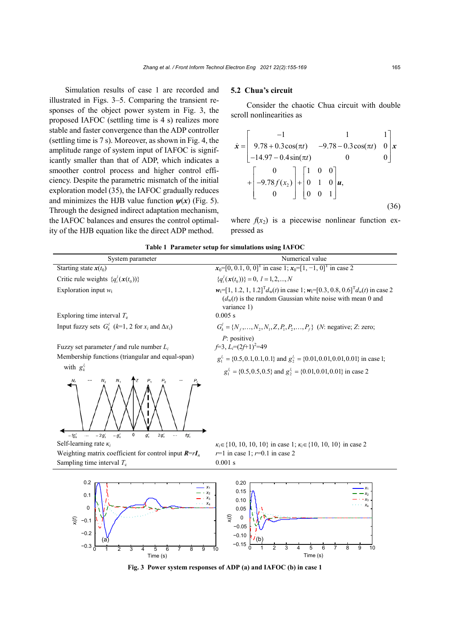Simulation results of case 1 are recorded and illustrated in Figs. 3–5. Comparing the transient responses of the object power system in Fig. 3, the proposed IAFOC (settling time is 4 s) realizes more stable and faster convergence than the ADP controller (settling time is 7 s). Moreover, as shown in Fig. 4, the amplitude range of system input of IAFOC is significantly smaller than that of ADP, which indicates a smoother control process and higher control efficiency. Despite the parametric mismatch of the initial exploration model (35), the IAFOC gradually reduces and minimizes the HJB value function  $\psi(x)$  (Fig. 5). Through the designed indirect adaptation mechanism, the IAFOC balances and ensures the control optimality of the HJB equation like the direct ADP method.

#### **5.2 Chua's circuit**

Consider the chaotic Chua circuit with double scroll nonlinearities as

$$
\dot{\mathbf{x}} = \begin{bmatrix} -1 & 1 & 1 \\ 9.78 + 0.3 \cos(\pi t) & -9.78 - 0.3 \cos(\pi t) & 0 \\ -14.97 - 0.4 \sin(\pi t) & 0 & 0 \end{bmatrix} \mathbf{x} + \begin{bmatrix} 0 \\ -9.78 f(x_2) \\ 0 \end{bmatrix} + \begin{bmatrix} 1 & 0 & 0 \\ 0 & 1 & 0 \\ 0 & 0 & 1 \end{bmatrix} \mathbf{u},
$$
\n(36)

where  $f(x_2)$  is a piecewise nonlinear function expressed as

<sup>0</sup> <sup>1</sup> <sup>2</sup> <sup>3</sup> <sup>4</sup> <sup>5</sup> <sup>6</sup> <sup>7</sup> <sup>8</sup> <sup>9</sup> <sup>10</sup> <sup>−</sup>0.15

Time (s)

| System parameter                                                                                       | Numerical value                                                                                                                                                                               |
|--------------------------------------------------------------------------------------------------------|-----------------------------------------------------------------------------------------------------------------------------------------------------------------------------------------------|
| Starting state $x(t_0)$                                                                                | $x_0=[0, 0.1, 0, 0]^T$ in case 1; $x_0=[1, -1, 0]^T$ in case 2                                                                                                                                |
| Critic rule weights $\{q_i^l(\mathbf{x}(t_0))\}$                                                       | ${q_i^l(\mathbf{x}(t_0))} = 0, l = 1, 2, , N$                                                                                                                                                 |
| Exploration input $w_t$                                                                                | $w_t=[1, 1.2, 1, 1.2]$ <sup>T</sup> $d_w(t)$ in case 1; $w_t=[0.3, 0.8, 0.6]$ <sup>T</sup> $d_w(t)$ in case 2<br>$(d_w(t))$ is the random Gaussian white noise with mean 0 and<br>variance 1) |
| Exploring time interval $T_e$                                                                          | 0.005 s                                                                                                                                                                                       |
| Input fuzzy sets $G_k^l$ (k=1, 2 for $x_i$ and $\Delta x_i$ )                                          | $G_k^l = \{N_f, , N_2, N_1, Z, P_1, P_2, , P_f\}$ ( <i>N</i> : negative; <i>Z</i> : zero;                                                                                                     |
|                                                                                                        | $P$ : positive)<br>$f=3$ , $L_i=(2f+1)^2=49$                                                                                                                                                  |
| Fuzzy set parameter f and rule number $L_i$<br>Membership functions (triangular and equal-span)        |                                                                                                                                                                                               |
|                                                                                                        | $g_1^{l_i} = \{0.5, 0.1, 0.1, 0.1\}$ and $g_2^{l_i} = \{0.01, 0.01, 0.01, 0.01\}$ in case 1;                                                                                                  |
| with $g_k^{l_i}$                                                                                       | $g_1^{l_i} = \{0.5, 0.5, 0.5\}$ and $g_2^{l_i} = \{0.01, 0.01, 0.01\}$ in case 2                                                                                                              |
| $\mathbf 0$<br>$-2q'_{k}$<br>$-q'_{\nu}$<br>$g'_{\nu}$<br>$2g_k'$<br>$fg'_{k}$<br>$-fq'$<br>$\sim$<br> |                                                                                                                                                                                               |
| Self-learning rate $\kappa_i$                                                                          | $\kappa_i \in \{10, 10, 10, 10\}$ in case 1; $\kappa_i \in \{10, 10, 10\}$ in case 2                                                                                                          |
| Weighting matrix coefficient for control input $R = rI_n$                                              | $r=1$ in case 1; $r=0.1$ in case 2                                                                                                                                                            |
| Sampling time interval $T_c$                                                                           | 0.001 s                                                                                                                                                                                       |
| 0.2<br>0.1<br>$\Omega$                                                                                 | 0.20<br>0.15<br>0.10<br>0.05                                                                                                                                                                  |

**Table 1 Parameter setup for simulations using IAFOC**

**Fig. 3 Power system responses of ADP (a) and IAFOC (b) in case 1**

-0.3 <del>de 1 2 3 4 5 6 7 8 9 1</del>0

Time (s)

−0.2 −0.1

(a)

*x* (*i t*)

−0.10 −0.05  $\mathbf 0$ 

(b)

*x* (*i t*)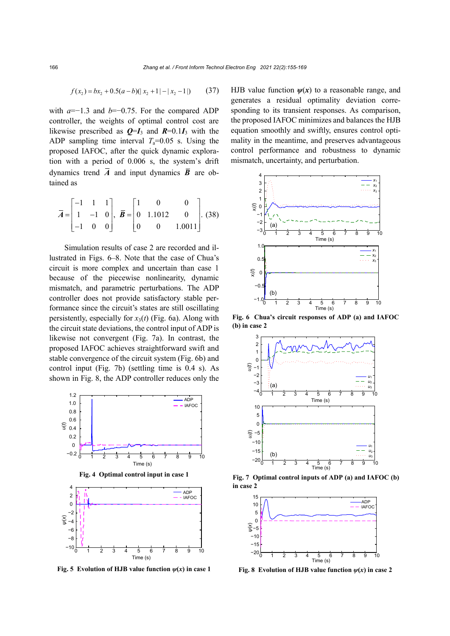$$
f(x_2) = bx_2 + 0.5(a - b)(|x_2 + 1| - |x_2 - 1|)
$$
 (37)

with *a*=−1.3 and *b*=−0.75. For the compared ADP controller, the weights of optimal control cost are likewise prescribed as  $Q=I_3$  and  $R=0.1I_3$  with the ADP sampling time interval  $T_a=0.05$  s. Using the proposed IAFOC, after the quick dynamic exploration with a period of 0.006 s, the system's drift dynamics trend  $\overline{A}$  and input dynamics  $\overline{B}$  are obtained as

$$
\overline{A} = \begin{bmatrix} -1 & 1 & 1 \\ 1 & -1 & 0 \\ -1 & 0 & 0 \end{bmatrix}, \ \overline{B} = \begin{bmatrix} 1 & 0 & 0 \\ 0 & 1.1012 & 0 \\ 0 & 0 & 1.0011 \end{bmatrix}. (38)
$$

Simulation results of case 2 are recorded and illustrated in Figs. 6–8. Note that the case of Chua's circuit is more complex and uncertain than case 1 because of the piecewise nonlinearity, dynamic mismatch, and parametric perturbations. The ADP controller does not provide satisfactory stable performance since the circuit's states are still oscillating persistently, especially for  $x_3(t)$  (Fig. 6a). Along with the circuit state deviations, the control input of ADP is likewise not convergent (Fig. 7a). In contrast, the proposed IAFOC achieves straightforward swift and stable convergence of the circuit system (Fig. 6b) and control input (Fig. 7b) (settling time is 0.4 s). As shown in Fig. 8, the ADP controller reduces only the



**Fig. 5 Evolution of HJB value function**  $\psi(x)$  in case 1

HJB value function  $\psi(x)$  to a reasonable range, and generates a residual optimality deviation corresponding to its transient responses. As comparison, the proposed IAFOC minimizes and balances the HJB equation smoothly and swiftly, ensures control optimality in the meantime, and preserves advantageous control performance and robustness to dynamic mismatch, uncertainty, and perturbation.



**Fig. 6 Chua's circuit responses of ADP (a) and IAFOC (b) in case 2**



**Fig. 7 Optimal control inputs of ADP (a) and IAFOC (b) in case 2**



**Fig. 8** Evolution of HJB value function  $\psi(x)$  in case 2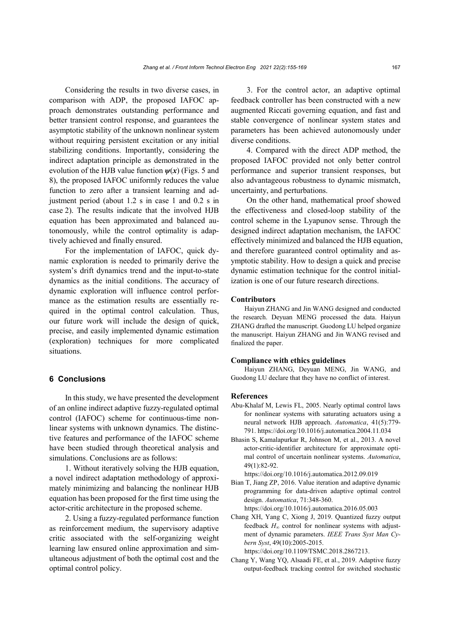Considering the results in two diverse cases, in comparison with ADP, the proposed IAFOC approach demonstrates outstanding performance and better transient control response, and guarantees the asymptotic stability of the unknown nonlinear system without requiring persistent excitation or any initial stabilizing conditions. Importantly, considering the indirect adaptation principle as demonstrated in the evolution of the HJB value function  $\psi(x)$  (Figs. 5 and 8), the proposed IAFOC uniformly reduces the value function to zero after a transient learning and adjustment period (about 1.2 s in case 1 and 0.2 s in case 2). The results indicate that the involved HJB equation has been approximated and balanced autonomously, while the control optimality is adaptively achieved and finally ensured.

For the implementation of IAFOC, quick dynamic exploration is needed to primarily derive the system's drift dynamics trend and the input-to-state dynamics as the initial conditions. The accuracy of dynamic exploration will influence control performance as the estimation results are essentially required in the optimal control calculation. Thus, our future work will include the design of quick, precise, and easily implemented dynamic estimation (exploration) techniques for more complicated situations.

# **6 Conclusions**

In this study, we have presented the development of an online indirect adaptive fuzzy-regulated optimal control (IAFOC) scheme for continuous-time nonlinear systems with unknown dynamics. The distinctive features and performance of the IAFOC scheme have been studied through theoretical analysis and simulations. Conclusions are as follows:

1. Without iteratively solving the HJB equation, a novel indirect adaptation methodology of approximately minimizing and balancing the nonlinear HJB equation has been proposed for the first time using the actor-critic architecture in the proposed scheme.

2. Using a fuzzy-regulated performance function as reinforcement medium, the supervisory adaptive critic associated with the self-organizing weight learning law ensured online approximation and simultaneous adjustment of both the optimal cost and the optimal control policy.

3. For the control actor, an adaptive optimal feedback controller has been constructed with a new augmented Riccati governing equation, and fast and stable convergence of nonlinear system states and parameters has been achieved autonomously under diverse conditions.

4. Compared with the direct ADP method, the proposed IAFOC provided not only better control performance and superior transient responses, but also advantageous robustness to dynamic mismatch, uncertainty, and perturbations.

On the other hand, mathematical proof showed the effectiveness and closed-loop stability of the control scheme in the Lyapunov sense. Through the designed indirect adaptation mechanism, the IAFOC effectively minimized and balanced the HJB equation, and therefore guaranteed control optimality and asymptotic stability. How to design a quick and precise dynamic estimation technique for the control initialization is one of our future research directions.

#### **Contributors**

Haiyun ZHANG and Jin WANG designed and conducted the research. Deyuan MENG processed the data. Haiyun ZHANG drafted the manuscript. Guodong LU helped organize the manuscript. Haiyun ZHANG and Jin WANG revised and finalized the paper.

### **Compliance with ethics guidelines**

Haiyun ZHANG, Deyuan MENG, Jin WANG, and Guodong LU declare that they have no conflict of interest.

#### **References**

- Abu-Khalaf M, Lewis FL, 2005. Nearly optimal control laws for nonlinear systems with saturating actuators using a neural network HJB approach. *Automatica*, 41(5):779- 791. https://doi.org/10.1016/j.automatica.2004.11.034
- Bhasin S, Kamalapurkar R, Johnson M, et al., 2013. A novel actor-critic-identifier architecture for approximate optimal control of uncertain nonlinear systems. *Automatica*, 49(1):82-92.

https://doi.org/10.1016/j.automatica.2012.09.019

Bian T, Jiang ZP, 2016. Value iteration and adaptive dynamic programming for data-driven adaptive optimal control design. *Automatica*, 71:348-360. https://doi.org/10.1016/j.automatica.2016.05.003

Chang XH, Yang C, Xiong J, 2019. Quantized fuzzy output feedback *H*<sup>∞</sup> control for nonlinear systems with adjustment of dynamic parameters. *IEEE Trans Syst Man Cybern Syst*, 49(10):2005-2015. https://doi.org/10.1109/TSMC.2018.2867213.

Chang Y, Wang YQ, Alsaadi FE, et al., 2019. Adaptive fuzzy output-feedback tracking control for switched stochastic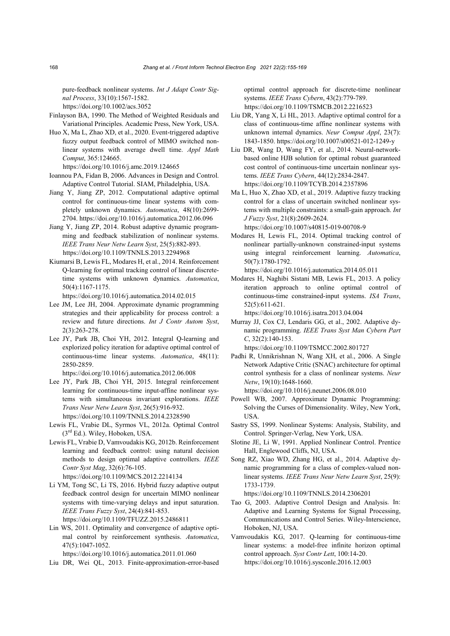pure-feedback nonlinear systems. *Int J Adapt Contr Signal Process*, 33(10):1567-1582.

https://doi.org/10.1002/acs.3052

- Finlayson BA, 1990. The Method of Weighted Residuals and Variational Principles. Academic Press, New York, USA.
- Huo X, Ma L, Zhao XD, et al., 2020. Event-triggered adaptive fuzzy output feedback control of MIMO switched nonlinear systems with average dwell time. *Appl Math Comput*, 365:124665.

https://doi.org/10.1016/j.amc.2019.124665

- Ioannou PA, Fidan B, 2006. Advances in Design and Control. Adaptive Control Tutorial. SIAM, Philadelphia, USA.
- Jiang Y, Jiang ZP, 2012. Computational adaptive optimal control for continuous-time linear systems with completely unknown dynamics. *Automatica*, 48(10):2699- 2704. https://doi.org/10.1016/j.automatica.2012.06.096
- Jiang Y, Jiang ZP, 2014. Robust adaptive dynamic programming and feedback stabilization of nonlinear systems. *IEEE Trans Neur Netw Learn Syst*, 25(5):882-893. https://doi.org/10.1109/TNNLS.2013.2294968
- Kiumarsi B, Lewis FL, Modares H, et al., 2014. Reinforcement Q-learning for optimal tracking control of linear discretetime systems with unknown dynamics. *Automatica*, 50(4):1167-1175.

https://doi.org/10.1016/j.automatica.2014.02.015

- Lee JM, Lee JH, 2004. Approximate dynamic programming strategies and their applicability for process control: a review and future directions. *Int J Contr Autom Syst*, 2(3):263-278.
- Lee JY, Park JB, Choi YH, 2012. Integral Q-learning and explorized policy iteration for adaptive optimal control of continuous-time linear systems. *Automatica*, 48(11): 2850-2859.

https://doi.org/10.1016/j.automatica.2012.06.008

- Lee JY, Park JB, Choi YH, 2015. Integral reinforcement learning for continuous-time input-affine nonlinear systems with simultaneous invariant explorations. *IEEE Trans Neur Netw Learn Syst*, 26(5):916-932. https://doi.org/10.1109/TNNLS.2014.2328590
- Lewis FL, Vrabie DL, Syrmos VL, 2012a. Optimal Control (3rd Ed.). Wiley, Hoboken, USA.
- Lewis FL, Vrabie D, Vamvoudakis KG, 2012b. Reinforcement learning and feedback control: using natural decision methods to design optimal adaptive controllers. *IEEE Contr Syst Mag*, 32(6):76-105. https://doi.org/10.1109/MCS.2012.2214134
- Li YM, Tong SC, Li TS, 2016. Hybrid fuzzy adaptive output feedback control design for uncertain MIMO nonlinear systems with time-varying delays and input saturation. *IEEE Trans Fuzzy Syst*, 24(4):841-853. https://doi.org/10.1109/TFUZZ.2015.2486811
- Lin WS, 2011. Optimality and convergence of adaptive optimal control by reinforcement synthesis. *Automatica*, 47(5):1047-1052.

https://doi.org/10.1016/j.automatica.2011.01.060

Liu DR, Wei QL, 2013. Finite-approximation-error-based

optimal control approach for discrete-time nonlinear systems. *IEEE Trans Cybern*, 43(2):779-789. https://doi.org/10.1109/TSMCB.2012.2216523

- Liu DR, Yang X, Li HL, 2013. Adaptive optimal control for a class of continuous-time affine nonlinear systems with unknown internal dynamics. *Neur Comput Appl*, 23(7): 1843-1850. https://doi.org/10.1007/s00521-012-1249-y
- Liu DR, Wang D, Wang FY, et al., 2014. Neural-networkbased online HJB solution for optimal robust guaranteed cost control of continuous-time uncertain nonlinear systems. *IEEE Trans Cybern*, 44(12):2834-2847. https://doi.org/10.1109/TCYB.2014.2357896
- Ma L, Huo X, Zhao XD, et al., 2019. Adaptive fuzzy tracking control for a class of uncertain switched nonlinear systems with multiple constraints: a small-gain approach. *Int J Fuzzy Syst*, 21(8):2609-2624. https://doi.org/10.1007/s40815-019-00708-9
- Modares H, Lewis FL, 2014. Optimal tracking control of nonlinear partially-unknown constrained-input systems using integral reinforcement learning. *Automatica*, 50(7):1780-1792.

https://doi.org/10.1016/j.automatica.2014.05.011

Modares H, Naghibi Sistani MB, Lewis FL, 2013. A policy iteration approach to online optimal control of continuous-time constrained-input systems. *ISA Trans*, 52(5):611-621.

https://doi.org/10.1016/j.isatra.2013.04.004

Murray JJ, Cox CJ, Lendaris GG, et al., 2002. Adaptive dynamic programming. *IEEE Trans Syst Man Cybern Part C*, 32(2):140-153.

https://doi.org/10.1109/TSMCC.2002.801727

Padhi R, Unnikrishnan N, Wang XH, et al., 2006. A Single Network Adaptive Critic (SNAC) architecture for optimal control synthesis for a class of nonlinear systems. *Neur Netw*, 19(10):1648-1660.

https://doi.org/10.1016/j.neunet.2006.08.010

- Powell WB, 2007. Approximate Dynamic Programming: Solving the Curses of Dimensionality. Wiley, New York, USA.
- Sastry SS, 1999. Nonlinear Systems: Analysis, Stability, and Control. Springer-Verlag, New York, USA.
- Slotine JE, Li W, 1991. Applied Nonlinear Control. Prentice Hall, Englewood Cliffs, NJ, USA.
- Song RZ, Xiao WD, Zhang HG, et al., 2014. Adaptive dynamic programming for a class of complex-valued nonlinear systems. *IEEE Trans Neur Netw Learn Syst*, 25(9): 1733-1739.

https://doi.org/10.1109/TNNLS.2014.2306201

- Tao G, 2003. Adaptive Control Design and Analysis. In: Adaptive and Learning Systems for Signal Processing, Communications and Control Series. Wiley-Interscience, Hoboken, NJ, USA.
- Vamvoudakis KG, 2017. Q-learning for continuous-time linear systems: a model-free infinite horizon optimal control approach. *Syst Contr Lett*, 100:14-20. https://doi.org/10.1016/j.sysconle.2016.12.003